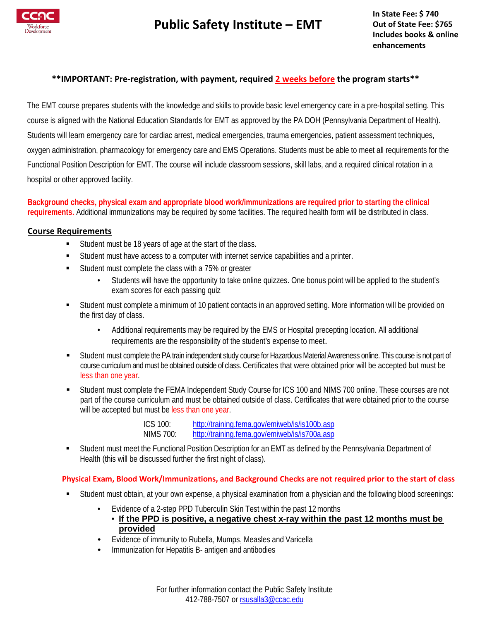

# **Public Safety Institute – EMT**

**In State Fee: \$ 740 Out of State Fee: \$765 Includes books & online enhancements**

#### **\*\*IMPORTANT: Pre-registration, with payment, required 2 weeks before the program starts\*\***

The EMT course prepares students with the knowledge and skills to provide basic level emergency care in a pre-hospital setting. This course is aligned with the National Education Standards for EMT as approved by the PA DOH (Pennsylvania Department of Health). Students will learn emergency care for cardiac arrest, medical emergencies, trauma emergencies, patient assessment techniques, oxygen administration, pharmacology for emergency care and EMS Operations. Students must be able to meet all requirements for the Functional Position Description for EMT. The course will include classroom sessions, skill labs, and a required clinical rotation in a hospital or other approved facility.

**Background checks, physical exam and appropriate blood work/immunizations are required prior to starting the clinical requirements.** Additional immunizations may be required by some facilities. The required health form will be distributed in class.

#### **Course Requirements**

- Student must be 18 years of age at the start of the class.
- Student must have access to a computer with internet service capabilities and a printer.
- Student must complete the class with a 75% or greater
	- Students will have the opportunity to take online quizzes. One bonus point will be applied to the student's exam scores for each passing quiz
- Student must complete a minimum of 10 patient contacts in an approved setting. More information will be provided on the first day of class.
	- Additional requirements may be required by the EMS or Hospital precepting location. All additional requirements are the responsibility of the student's expense to meet.
- Student must complete the PA train independent study course for Hazardous Material Awareness online. This course is not part of course curriculum and must be obtained outside of class. Certificates that were obtained prior will be accepted but must be less than one year.
- Student must complete the FEMA Independent Study Course for ICS 100 and NIMS 700 online. These courses are not part of the course curriculum and must be obtained outside of class. Certificates that were obtained prior to the course will be accepted but must be less than one year.

ICS 100: <http://training.fema.gov/emiweb/is/is100b.asp> NIMS 700: <http://training.fema.gov/emiweb/is/is700a.asp>

 Student must meet the Functional Position Description for an EMT as defined by the Pennsylvania Department of Health (this will be discussed further the first night of class).

#### **Physical Exam, Blood Work/Immunizations, and Background Checks are not required prior to the start of class**

- Student must obtain, at your own expense, a physical examination from a physician and the following blood screenings:
	- Evidence of a 2-step PPD Tuberculin Skin Test within the past 12months
		- **If the PPD is positive, a negative chest x-ray within the past 12 months must be provided**
	- Evidence of immunity to Rubella, Mumps, Measles and Varicella
	- Immunization for Hepatitis B- antigen and antibodies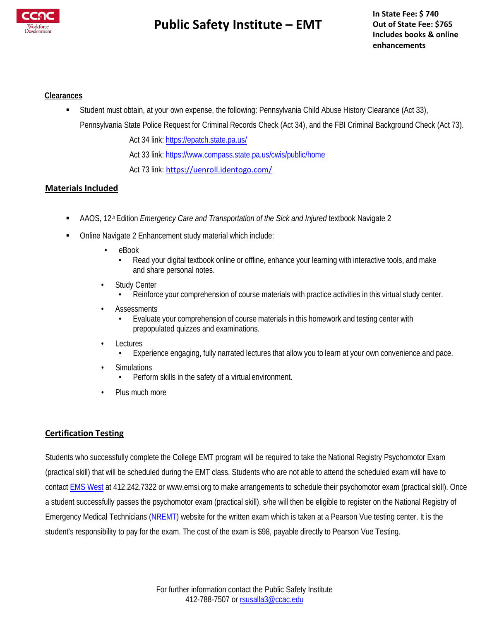

# **Public Safety Institute – EMT**

### **Clearances**

Student must obtain, at your own expense, the following: Pennsylvania Child Abuse History Clearance (Act 33),

Pennsylvania State Police Request for Criminal Records Check (Act 34), and the FBI Criminal Background Check (Act 73). Act 34 link[: https://epatch.state.pa.us/](https://epatch.state.pa.us/) 

Act 33 link[: https://www.compass.state.pa.us/cwis/public/home](https://www.compass.state.pa.us/cwis/public/home)

Act 73 link: <https://uenroll.identogo.com/>

## **Materials Included**

- **AAOS**, 12<sup>th</sup> Edition *Emergency Care and Transportation of the Sick and Injured textbook Navigate 2*
- Online Navigate 2 Enhancement study material which include:
	- eBook
		- Read your digital textbook online or offline, enhance your learning with interactive tools, and make and share personal notes.
	- **Study Center** 
		- Reinforce your comprehension of course materials with practice activities in this virtual study center.
	- **Assessments** 
		- Evaluate your comprehension of course materials in this homework and testing center with prepopulated quizzes and examinations.
	- **Lectures** 
		- Experience engaging, fully narrated lectures that allow you to learn at your own convenience and pace.
	- **Simulations** 
		- Perform skills in the safety of a virtual environment.
	- Plus much more

### **Certification Testing**

Students who successfully complete the College EMT program will be required to take the National Registry Psychomotor Exam (practical skill) that will be scheduled during the EMT class. Students who are not able to attend the scheduled exam will have to contact **EMS West** at 412.242.7322 [or www.emsi.org t](http://www.emsi.org/)o make arrangements to schedule their psychomotor exam (practical skill). Once a student successfully passes the psychomotor exam (practical skill), s/he will then be eligible to register on the National Registry of Emergency Medical Technicians [\(NREMT\)](http://www.nremt.org/) website for the written exam which is taken at a Pearson Vue testing center. It is the student's responsibility to pay for the exam. The cost of the exam is \$98, payable directly to Pearson Vue Testing.